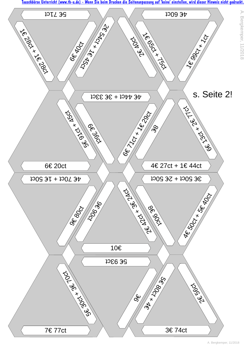[Tauschbörse Unterricht \(www.tb-u.de\) - Wenn Sie beim Drucken die Seitenanpassung auf 'keine' einstellen, wird dieser Hinweis nicht gedruckt.](https://www.tb-u.de)